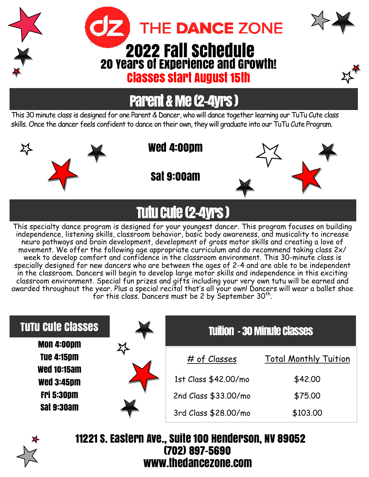

## Parent & Me (2-4yrs )

This 30 minute class is designed for one Parent & Dancer, who will dance together learning our TuTu Cute class skills. Once the dancer feels confident to dance on their own, they will graduate into our TuTu Cute Program.



冯

Wed 4:00pm

Sat 9:00am



# Tutu Cute (2-4yrs )

This specialty dance program is designed for your youngest dancer. This program focuses on building independence, listening skills, classroom behavior, basic body awareness, and musicality to increase neuro pathways and brain development, development of gross motor skills and creating a love of movement. We offer the following age appropriate curriculum and do recommend taking class 2x/ week to develop comfort and confidence in the classroom environment. This 30-minute class is specially designed for new dancers who are between the ages of 2-4 and are able to be independent in the classroom. Dancers will begin to develop large motor skills and independence in this exciting classroom environment. Special fun prizes and gifts including your very own tutu will be earned and awarded throughout the year. Plus a special recital that's all your own! Dancers will wear a ballet shoe for this class. Dancers must be 2 by September  $30<sup>th</sup>$ .

| <b>TUTU Cute Classes</b>                | <b>Tuition - 30 Minute Classes</b> |                              |
|-----------------------------------------|------------------------------------|------------------------------|
| <b>MON 4:00pm</b>                       |                                    |                              |
| <b>Tue 4:15pm</b>                       | # of Classes                       | <b>Total Monthly Tuition</b> |
| <b>Wed 10:15am</b><br><b>Wed 3:45pm</b> | 1st Class \$42.00/mo               | \$42.00                      |
| <b>Fri 5:30pm</b>                       | 2nd Class \$33.00/mo               | \$75.00                      |
| <b>Sat 9:30am</b>                       | 3rd Class \$28.00/mo               | \$103.00                     |



11221 S. Eastern Ave., Suite 100 Henderson, NV 89052 (702) 897-5690 www.thedancezone.com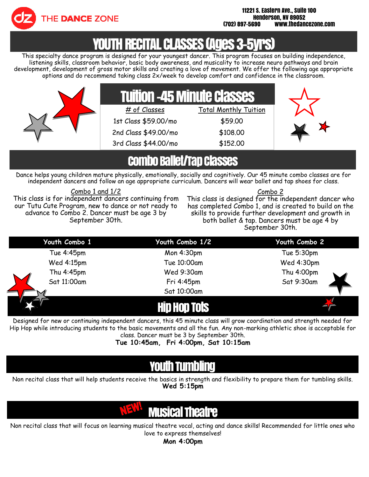

## YOUTH RECITAL CLASSES (AGES 3

This specialty dance program is designed for your youngest dancer. This program focuses on building independence, listening skills, classroom behavior, basic body awareness, and musicality to increase neuro pathways and brain development, development of gross motor skills and creating a love of movement. We offer the following age appropriate options and do recommend taking class 2x/week to develop comfort and confidence in the classroom.



### Combo Ballet/Tap Classes

Dance helps young children mature physically, emotionally, socially and cognitively. Our 45 minute combo classes are for independent dancers and follow an age appropriate curriculum. Dancers will wear ballet and tap shoes for class.

#### Combo 1 and 1/2

This class is for independent dancers continuing from our Tutu Cute Program, new to dance or not ready to advance to Combo 2. Dancer must be age 3 by September 30th.

#### Combo 2

This class is designed for the independent dancer who has completed Combo 1, and is created to build on the skills to provide further development and growth in both ballet & tap. Dancers must be age 4 by September 30th.

| Youth Combo 1 | Youth Combo 1/2 | Youth Combo 2 |
|---------------|-----------------|---------------|
| Tue 4:45pm    | Mon 4:30pm      | Tue 5:30pm    |
| Wed 4:15pm    | Tue 10:00am     | Wed 4:30pm    |
| Thu 4:45pm    | Wed 9:30am      | Thu 4:00pm    |
| Sat 11:00am   | Fri 4:45pm      | Sat 9:30am    |
|               | Sat 10:00am     |               |
|               | n tois          |               |

Designed for new or continuing independent dancers, this 45 minute class will grow coordination and strength needed for Hip Hop while introducing students to the basic movements and all the fun. Any non-marking athletic shoe is acceptable for class. Dancer must be 3 by September 30th.

**Tue 10:45am, Fri 4:00pm, Sat 10:15am**

### YOUTH TUINDINGI

Non recital class that will help students receive the basics in strength and flexibility to prepare them for tumbling skills. **Wed 5:15pm**

### Musical Theatre

Non recital class that will focus on learning musical theatre vocal, acting and dance skills! Recommended for little ones who love to express themselves!

**Mon 4:00pm**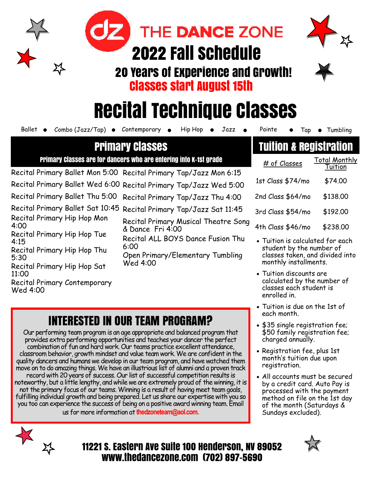# 2022 Fall Schedule

THE DANCE ZONE

20 Years of Experience and Growth! Classes start August 15th



# Recital Technique Classes

Ballet  $\bullet$  Combo (Jazz/Tap)  $\bullet$  Contemporary  $\bullet$  Hip Hop  $\bullet$  Jazz  $\bullet$  Pointe  $\bullet$  Tap  $\bullet$  Tumbling

### Primary Classes

Primary Classes are for dancers who are entering into K-1st grade

Recital Primary Ballet Mon 5:00 Recital Primary Tap/Jazz Mon 6:15 Recital Primary Ballet Wed 6:00 Recital Primary Tap/Jazz Wed 5:00 Recital Primary Ballet Thu 5:00 Recital Primary Tap/Jazz Thu 4:00 Recital Primary Ballet Sat 10:45 Recital Primary Tap/Jazz Sat 11:45

Recital Primary Hip Hop Mon 4:00

Recital Primary Hip Hop Tue 4:15

Recital Primary Hip Hop Thu 5:30

Recital Primary Hip Hop Sat 11:00

Recital Primary Contemporary Wed 4:00

| <b>Recital Primary Musical Theatre Song</b> |
|---------------------------------------------|
| & Dance Fri 4:00                            |
| Recital ALL BOYS Dance Fusion Thu           |
| 6:00                                        |

Open Primary/Elementary Tumbling Wed 4:00

### INTERESTED IN OUR TEAM PROGRAM?

Our performing team program is an age appropriate and balanced program that provides extra performing opportunities and teaches your dancer the perfect combination of fun and hard work. Our teams practice excellent attendance, classroom behavior, growth mindset and value team work. We are confident in the quality dancers and humans we develop in our team program, and have watched them move on to do amazing things. We have an illustrious list of alumni and a proven track record with 20 years of success. Our list of successful competition results is noteworthy, but a little lengthy, and while we are extremely proud of the winning, it is not the primary focus of our teams. Winning is a result of having meet team goals, fulfilling individual growth and being prepared. Let us share our expertise with you so you too can experience the success of being on a positive award winning team. Email us for more information at **thedzoneteam@aol.com.** 

### Tuition & Registration

# of Classes Total Monthly Tuition 1st Class \$74/mo \$74.00 2nd Class \$64/mo \$138.00 3rd Class \$54/mo \$192.00 4th Class \$46/mo \$238.00

- Tuition is calculated for each student by the number of classes taken, and divided into monthly installments.
- Tuition discounts are calculated by the number of classes each student is enrolled in.
- Tuition is due on the 1st of each month.
- \$35 single registration fee; \$50 family registration fee; charged annually.
- Registration fee, plus 1st month's tuition due upon registration.
- All accounts must be secured by a credit card. Auto Pay is processed with the payment method on file on the 1st day of the month (Saturdays & Sundays excluded).